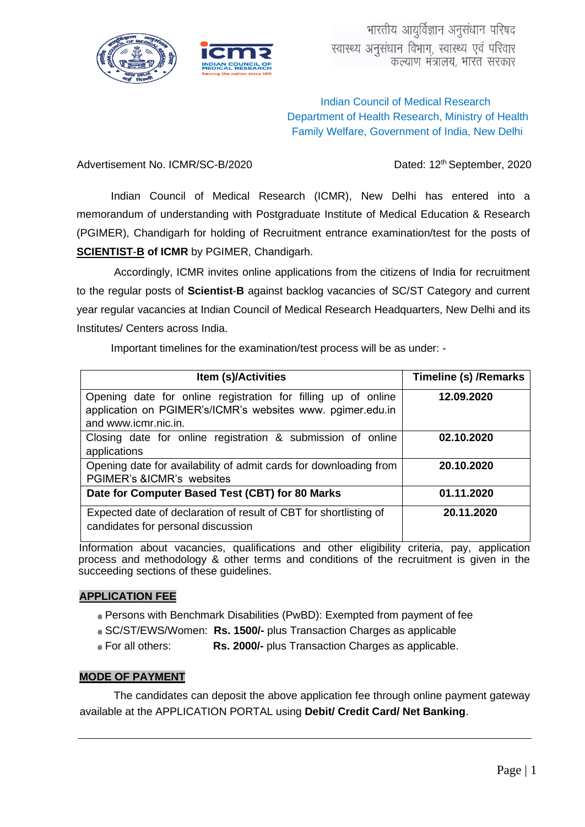



# Indian Council of Medical Research Department of Health Research, Ministry of Health Family Welfare, Government of India, New Delhi

Advertisement No. ICMR/SC-B/2020 Dated: 12<sup>th</sup> September, 2020

Indian Council of Medical Research (ICMR), New Delhi has entered into a memorandum of understanding with Postgraduate Institute of Medical Education & Research (PGIMER), Chandigarh for holding of Recruitment entrance examination/test for the posts of **SCIENTIST**-**B of ICMR** by PGIMER, Chandigarh.

Accordingly, ICMR invites online applications from the citizens of India for recruitment to the regular posts of **Scientist**-**B** against backlog vacancies of SC/ST Category and current year regular vacancies at Indian Council of Medical Research Headquarters, New Delhi and its Institutes/ Centers across India.

Important timelines for the examination/test process will be as under: -

| <b>Item (s)/Activities</b>                                                                                                                          | Timeline (s) / Remarks |
|-----------------------------------------------------------------------------------------------------------------------------------------------------|------------------------|
| Opening date for online registration for filling up of online<br>application on PGIMER's/ICMR's websites www. pgimer.edu.in<br>and www.icmr.nic.in. | 12.09.2020             |
| Closing date for online registration & submission of online<br>applications                                                                         | 02.10.2020             |
| Opening date for availability of admit cards for downloading from<br>PGIMER's &ICMR's websites                                                      | 20.10.2020             |
| Date for Computer Based Test (CBT) for 80 Marks                                                                                                     | 01.11.2020             |
| Expected date of declaration of result of CBT for shortlisting of<br>candidates for personal discussion                                             | 20.11.2020             |

Information about vacancies, qualifications and other eligibility criteria, pay, application process and methodology & other terms and conditions of the recruitment is given in the succeeding sections of these guidelines.

# **APPLICATION FEE**

- Persons with Benchmark Disabilities (PwBD): Exempted from payment of fee
- SC/ST/EWS/Women: **Rs. 1500/-** plus Transaction Charges as applicable
- For all others: **Rs. 2000/-** plus Transaction Charges as applicable.

#### **MODE OF PAYMENT**

The candidates can deposit the above application fee through online payment gateway available at the APPLICATION PORTAL using **Debit/ Credit Card/ Net Banking**.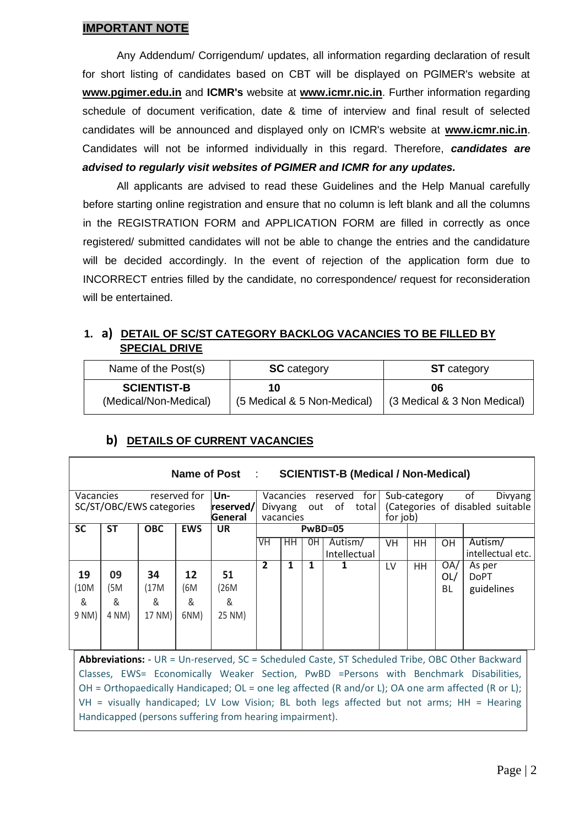# **IMPORTANT NOTE**

Any Addendum/ Corrigendum/ updates, all information regarding declaration of result for short listing of candidates based on CBT will be displayed on PGlMER's website at **www.pgimer.edu.in** and **ICMR's** website at **www.icmr.nic.in**. Further information regarding schedule of document verification, date & time of interview and final result of selected candidates will be announced and displayed only on ICMR's website at **www.icmr.nic.in**. Candidates will not be informed individually in this regard. Therefore, *candidates are advised to regularly visit websites of PGIMER and ICMR for any updates.*

All applicants are advised to read these Guidelines and the Help Manual carefully before starting online registration and ensure that no column is left blank and all the columns in the REGISTRATION FORM and APPLICATION FORM are filled in correctly as once registered/ submitted candidates will not be able to change the entries and the candidature will be decided accordingly. In the event of rejection of the application form due to INCORRECT entries filled by the candidate, no correspondence/ request for reconsideration will be entertained.

# **1. a) DETAIL OF SC/ST CATEGORY BACKLOG VACANCIES TO BE FILLED BY SPECIAL DRIVE**

| Name of the Post(s)   | <b>SC</b> category          | <b>ST</b> category          |
|-----------------------|-----------------------------|-----------------------------|
| <b>SCIENTIST-B</b>    | 10                          | 06                          |
| (Medical/Non-Medical) | (5 Medical & 5 Non-Medical) | (3 Medical & 3 Non Medical) |

#### **Name of Post** : **SCIENTIST-B (Medical / Non-Medical)** Vacancies reserved for SC/ST/OBC/EWS categories **Unreserved/ General** Vacancies reserved for Divyang out of total vacancies Sub-category of Divyang (Categories of disabled suitable for job) **SC ST OBC EWS UR PwBD=05** VH | HH | 0H | Autism/ Intellectual VH HH OH Autism/ intellectual etc. **19 09 34 12 51 2 1 1 1** LV HH OA/ OL/ BL As per DoPT (10M (5M (17M (6M (26M guidelines & 9 NM) & 4 NM) & 17 NM) & 6NM) & 25 NM)

# **b) DETAILS OF CURRENT VACANCIES**

**Abbreviations:** - UR = Un-reserved, SC = Scheduled Caste, ST Scheduled Tribe, OBC Other Backward Classes, EWS= Economically Weaker Section, PwBD =Persons with Benchmark Disabilities, OH = Orthopaedically Handicaped; OL = one leg affected (R and/or L); OA one arm affected (R or L); VH = visually handicaped; LV Low Vision; BL both legs affected but not arms; HH = Hearing Handicapped (persons suffering from hearing impairment).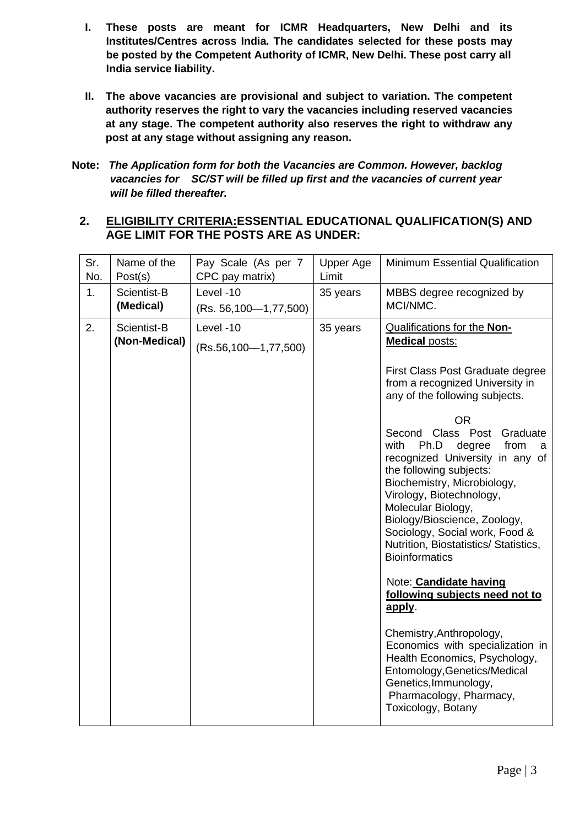- **I. These posts are meant for ICMR Headquarters, New Delhi and its Institutes/Centres across India. The candidates selected for these posts may be posted by the Competent Authority of ICMR, New Delhi. These post carry all India service liability.**
- **II. The above vacancies are provisional and subject to variation. The competent authority reserves the right to vary the vacancies including reserved vacancies at any stage. The competent authority also reserves the right to withdraw any post at any stage without assigning any reason.**
- **Note:** *The Application form for both the Vacancies are Common. However, backlog vacancies for SC/ST will be filled up first and the vacancies of current year will be filled thereafter.*

# **2. ELIGIBILITY CRITERIA:ESSENTIAL EDUCATIONAL QUALIFICATION(S) AND AGE LIMIT FOR THE POSTS ARE AS UNDER:**

| Sr.<br>No. | Name of the<br>Post(s)       | Pay Scale (As per 7<br>CPC pay matrix)    | Upper Age<br>Limit | <b>Minimum Essential Qualification</b>                                                                                                                                                                                                                                                                                                                                                                                                                                                                                                                                                                                                                                                                                                                                                                                            |
|------------|------------------------------|-------------------------------------------|--------------------|-----------------------------------------------------------------------------------------------------------------------------------------------------------------------------------------------------------------------------------------------------------------------------------------------------------------------------------------------------------------------------------------------------------------------------------------------------------------------------------------------------------------------------------------------------------------------------------------------------------------------------------------------------------------------------------------------------------------------------------------------------------------------------------------------------------------------------------|
| 1.         | Scientist-B<br>(Medical)     | Level -10<br>$(Rs. 56, 100 - 1, 77, 500)$ | 35 years           | MBBS degree recognized by<br>MCI/NMC.                                                                                                                                                                                                                                                                                                                                                                                                                                                                                                                                                                                                                                                                                                                                                                                             |
| 2.         | Scientist-B<br>(Non-Medical) | Level -10<br>$(Rs.56, 100 - 1, 77, 500)$  | 35 years           | <b>Qualifications for the Non-</b><br><b>Medical posts:</b><br>First Class Post Graduate degree<br>from a recognized University in<br>any of the following subjects.<br><b>OR</b><br>Second Class Post Graduate<br>Ph.D<br>with<br>degree<br>from<br>a<br>recognized University in any of<br>the following subjects:<br>Biochemistry, Microbiology,<br>Virology, Biotechnology,<br>Molecular Biology,<br>Biology/Bioscience, Zoology,<br>Sociology, Social work, Food &<br>Nutrition, Biostatistics/ Statistics,<br><b>Bioinformatics</b><br>Note: <b>Candidate having</b><br>following subjects need not to<br>apply.<br>Chemistry, Anthropology,<br>Economics with specialization in<br>Health Economics, Psychology,<br>Entomology, Genetics/Medical<br>Genetics, Immunology,<br>Pharmacology, Pharmacy,<br>Toxicology, Botany |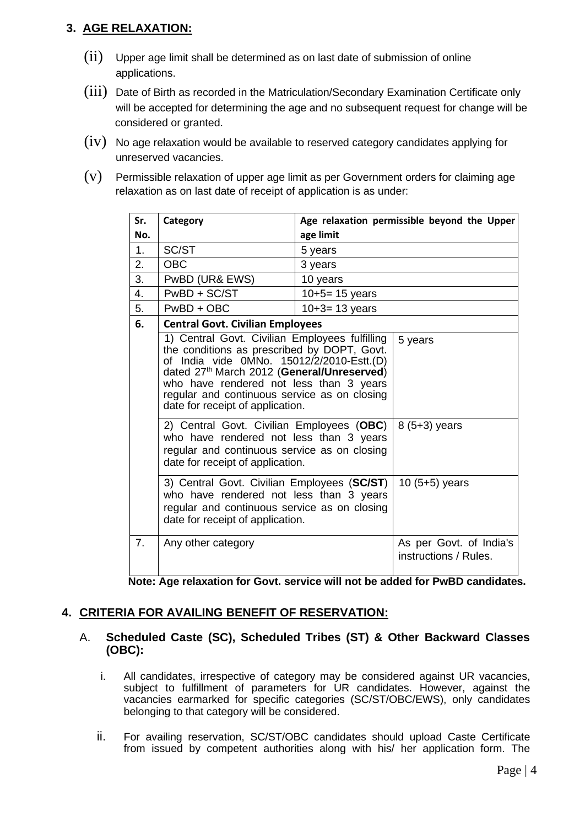# **3. AGE RELAXATION:**

- $(iii)$  Upper age limit shall be determined as on last date of submission of online applications.
- (iii) Date of Birth as recorded in the Matriculation/Secondary Examination Certificate only will be accepted for determining the age and no subsequent request for change will be considered or granted.
- $(iv)$  No age relaxation would be available to reserved category candidates applying for unreserved vacancies.
- $(v)$  Permissible relaxation of upper age limit as per Government orders for claiming age relaxation as on last date of receipt of application is as under:

| Sr. | Category                                                                                                                                                                                                                                                                                                                |                     | Age relaxation permissible beyond the Upper      |
|-----|-------------------------------------------------------------------------------------------------------------------------------------------------------------------------------------------------------------------------------------------------------------------------------------------------------------------------|---------------------|--------------------------------------------------|
| No. |                                                                                                                                                                                                                                                                                                                         | age limit           |                                                  |
| 1.  | SC/ST                                                                                                                                                                                                                                                                                                                   | 5 years             |                                                  |
| 2.  | <b>OBC</b>                                                                                                                                                                                                                                                                                                              | 3 years             |                                                  |
| 3.  | PwBD (UR& EWS)                                                                                                                                                                                                                                                                                                          | 10 years            |                                                  |
| 4.  | PwBD + SC/ST                                                                                                                                                                                                                                                                                                            | $10+5=15$ years     |                                                  |
| 5.  | $PwBD + OBC$                                                                                                                                                                                                                                                                                                            | $10 + 3 = 13$ years |                                                  |
| 6.  | <b>Central Govt. Civilian Employees</b>                                                                                                                                                                                                                                                                                 |                     |                                                  |
|     | 1) Central Govt. Civilian Employees fulfilling<br>the conditions as prescribed by DOPT, Govt.<br>of India vide 0MNo. 15012/2/2010-Estt.(D)<br>dated 27th March 2012 (General/Unreserved)<br>who have rendered not less than 3 years<br>regular and continuous service as on closing<br>date for receipt of application. |                     | 5 years                                          |
|     | 2) Central Govt. Civilian Employees (OBC)<br>$8(5+3)$ years<br>who have rendered not less than 3 years<br>regular and continuous service as on closing<br>date for receipt of application.                                                                                                                              |                     |                                                  |
|     | 3) Central Govt. Civilian Employees (SC/ST)<br>who have rendered not less than 3 years<br>regular and continuous service as on closing<br>date for receipt of application.                                                                                                                                              |                     | 10 $(5+5)$ years                                 |
| 7.  | Any other category                                                                                                                                                                                                                                                                                                      |                     | As per Govt. of India's<br>instructions / Rules. |

**Note: Age relaxation for Govt. service will not be added for PwBD candidates.**

# **4. CRITERIA FOR AVAILING BENEFIT OF RESERVATION:**

# A. **Scheduled Caste (SC), Scheduled Tribes (ST) & Other Backward Classes (OBC):**

- i. All candidates, irrespective of category may be considered against UR vacancies, subject to fulfillment of parameters for UR candidates. However, against the vacancies earmarked for specific categories (SC/ST/OBC/EWS), only candidates belonging to that category will be considered.
- ii. For availing reservation, SC/ST/OBC candidates should upload Caste Certificate from issued by competent authorities along with his/ her application form. The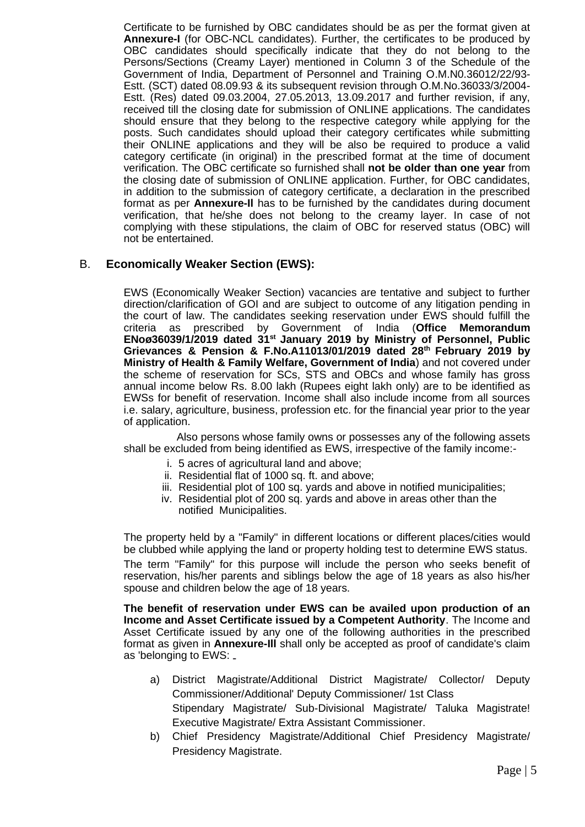Certificate to be furnished by OBC candidates should be as per the format given at **Annexure-I** (for OBC-NCL candidates). Further, the certificates to be produced by OBC candidates should specifically indicate that they do not belong to the Persons/Sections (Creamy Layer) mentioned in Column 3 of the Schedule of the Government of India, Department of Personnel and Training O.M.N0.36012/22/93- Estt. (SCT) dated 08.09.93 & its subsequent revision through O.M.No.36033/3/2004- Estt. (Res) dated 09.03.2004, 27.05.2013, 13.09.2017 and further revision, if any, received till the closing date for submission of ONLINE applications. The candidates should ensure that they belong to the respective category while applying for the posts. Such candidates should upload their category certificates while submitting their ONLINE applications and they will be also be required to produce a valid category certificate (in original) in the prescribed format at the time of document verification. The OBC certificate so furnished shall **not be older than one year** from the closing date of submission of ONLINE application. Further, for OBC candidates, in addition to the submission of category certificate, a declaration in the prescribed format as per **Annexure-Il** has to be furnished by the candidates during document verification, that he/she does not belong to the creamy layer. In case of not complying with these stipulations, the claim of OBC for reserved status (OBC) will not be entertained.

#### B. **Economically Weaker Section (EWS):**

EWS (Economically Weaker Section) vacancies are tentative and subject to further direction/clarification of GOI and are subject to outcome of any litigation pending in the court of law. The candidates seeking reservation under EWS should fulfill the criteria as prescribed by Government of India (**Office Memorandum ENoø36039/1/2019 dated 31st January 2019 by Ministry of Personnel, Public Grievances & Pension & F.No.A11013/01/2019 dated 28th February 2019 by Ministry of Health & Family Welfare, Government of India**) and not covered under the scheme of reservation for SCs, STS and OBCs and whose family has gross annual income below Rs. 8.00 lakh (Rupees eight lakh only) are to be identified as EWSs for benefit of reservation. Income shall also include income from all sources i.e. salary, agriculture, business, profession etc. for the financial year prior to the year of application.

Also persons whose family owns or possesses any of the following assets shall be excluded from being identified as EWS, irrespective of the family income:-

- i. 5 acres of agricultural land and above;
- ii. Residential flat of 1000 sq. ft. and above;
- iii. Residential plot of 100 sq. yards and above in notified municipalities;
- iv. Residential plot of 200 sq. yards and above in areas other than the notified Municipalities.

The property held by a "Family" in different locations or different places/cities would be clubbed while applying the land or property holding test to determine EWS status. The term "Family" for this purpose will include the person who seeks benefit of reservation, his/her parents and siblings below the age of 18 years as also his/her spouse and children below the age of 18 years.

**The benefit of reservation under EWS can be availed upon production of an Income and Asset Certificate issued by a Competent Authority**. The Income and Asset Certificate issued by any one of the following authorities in the prescribed format as given in **Annexure-Ill** shall only be accepted as proof of candidate's claim as 'belonging to EWS:

- a) District Magistrate/Additional District Magistrate/ Collector/ Deputy Commissioner/Additional' Deputy Commissioner/ 1st Class Stipendary Magistrate/ Sub-Divisional Magistrate/ Taluka Magistrate! Executive Magistrate/ Extra Assistant Commissioner.
- b) Chief Presidency Magistrate/Additional Chief Presidency Magistrate/ Presidency Magistrate.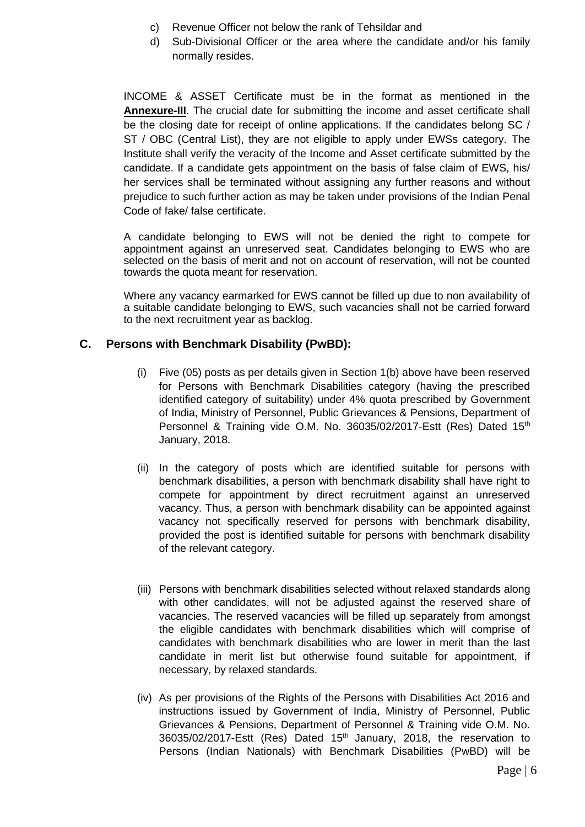- c) Revenue Officer not below the rank of Tehsildar and
- d) Sub-Divisional Officer or the area where the candidate and/or his family normally resides.

INCOME & ASSET Certificate must be in the format as mentioned in the **Annexure-III**. The crucial date for submitting the income and asset certificate shall be the closing date for receipt of online applications. If the candidates belong SC / ST / OBC (Central List), they are not eligible to apply under EWSs category. The Institute shall verify the veracity of the Income and Asset certificate submitted by the candidate. If a candidate gets appointment on the basis of false claim of EWS, his/ her services shall be terminated without assigning any further reasons and without prejudice to such further action as may be taken under provisions of the Indian Penal Code of fake/ false certificate.

A candidate belonging to EWS will not be denied the right to compete for appointment against an unreserved seat. Candidates belonging to EWS who are selected on the basis of merit and not on account of reservation, will not be counted towards the quota meant for reservation.

Where any vacancy earmarked for EWS cannot be filled up due to non availability of a suitable candidate belonging to EWS, such vacancies shall not be carried forward to the next recruitment year as backlog.

# **C. Persons with Benchmark Disability (PwBD):**

- (i) Five (05) posts as per details given in Section 1(b) above have been reserved for Persons with Benchmark Disabilities category (having the prescribed identified category of suitability) under 4% quota prescribed by Government of India, Ministry of Personnel, Public Grievances & Pensions, Department of Personnel & Training vide O.M. No. 36035/02/2017-Estt (Res) Dated 15<sup>th</sup> January, 2018.
- (ii) In the category of posts which are identified suitable for persons with benchmark disabilities, a person with benchmark disability shall have right to compete for appointment by direct recruitment against an unreserved vacancy. Thus, a person with benchmark disability can be appointed against vacancy not specifically reserved for persons with benchmark disability, provided the post is identified suitable for persons with benchmark disability of the relevant category.
- (iii) Persons with benchmark disabilities selected without relaxed standards along with other candidates, will not be adjusted against the reserved share of vacancies. The reserved vacancies will be filled up separately from amongst the eligible candidates with benchmark disabilities which will comprise of candidates with benchmark disabilities who are lower in merit than the last candidate in merit list but otherwise found suitable for appointment, if necessary, by relaxed standards.
- (iv) As per provisions of the Rights of the Persons with Disabilities Act 2016 and instructions issued by Government of India, Ministry of Personnel, Public Grievances & Pensions, Department of Personnel & Training vide O.M. No. 36035/02/2017-Estt (Res) Dated 15<sup>th</sup> January, 2018, the reservation to Persons (Indian Nationals) with Benchmark Disabilities (PwBD) will be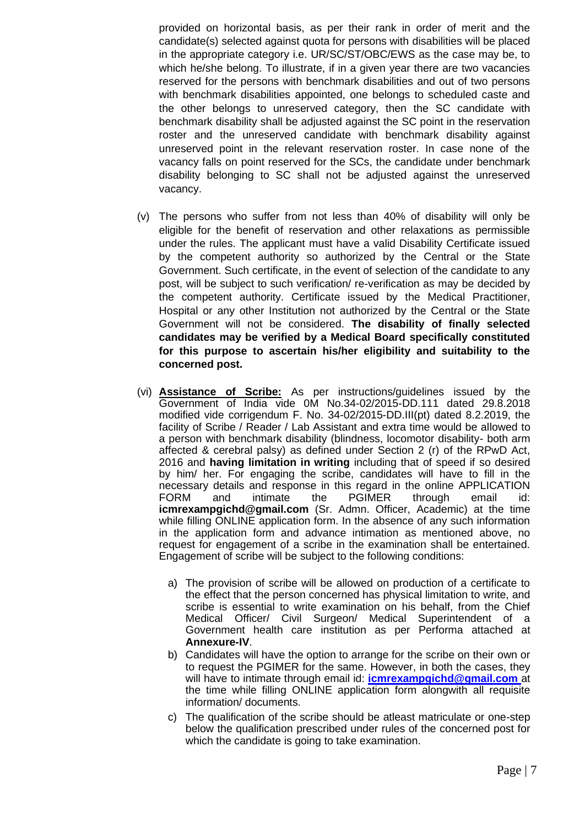provided on horizontal basis, as per their rank in order of merit and the candidate(s) selected against quota for persons with disabilities will be placed in the appropriate category i.e. UR/SC/ST/OBC/EWS as the case may be, to which he/she belong. To illustrate, if in a given year there are two vacancies reserved for the persons with benchmark disabilities and out of two persons with benchmark disabilities appointed, one belongs to scheduled caste and the other belongs to unreserved category, then the SC candidate with benchmark disability shall be adjusted against the SC point in the reservation roster and the unreserved candidate with benchmark disability against unreserved point in the relevant reservation roster. In case none of the vacancy falls on point reserved for the SCs, the candidate under benchmark disability belonging to SC shall not be adjusted against the unreserved vacancy.

- (v) The persons who suffer from not less than 40% of disability will only be eligible for the benefit of reservation and other relaxations as permissible under the rules. The applicant must have a valid Disability Certificate issued by the competent authority so authorized by the Central or the State Government. Such certificate, in the event of selection of the candidate to any post, will be subject to such verification/ re-verification as may be decided by the competent authority. Certificate issued by the Medical Practitioner, Hospital or any other Institution not authorized by the Central or the State Government will not be considered. **The disability of finally selected candidates may be verified by a Medical Board specifically constituted for this purpose to ascertain his/her eligibility and suitability to the concerned post.**
- (vi) **Assistance of Scribe:** As per instructions/guidelines issued by the Government of India vide 0M No.34-02/2015-DD.111 dated 29.8.2018 modified vide corrigendum F. No. 34-02/2015-DD.III(pt) dated 8.2.2019, the facility of Scribe / Reader / Lab Assistant and extra time would be allowed to a person with benchmark disability (blindness, locomotor disability- both arm affected & cerebral palsy) as defined under Section 2 (r) of the RPwD Act, 2016 and **having limitation in writing** including that of speed if so desired by him/ her. For engaging the scribe, candidates will have to fill in the necessary details and response in this regard in the online APPLICATION FORM and intimate the PGIMER through email id: **icmrexampgichd@gmail.com** (Sr. Admn. Officer, Academic) at the time while filling ONLINE application form. In the absence of any such information in the application form and advance intimation as mentioned above, no request for engagement of a scribe in the examination shall be entertained. Engagement of scribe will be subject to the following conditions:
	- a) The provision of scribe will be allowed on production of a certificate to the effect that the person concerned has physical limitation to write, and scribe is essential to write examination on his behalf, from the Chief Medical Officer/ Civil Surgeon/ Medical Superintendent of a Government health care institution as per Performa attached at **Annexure-IV**.
	- b) Candidates will have the option to arrange for the scribe on their own or to request the PGIMER for the same. However, in both the cases, they will have to intimate through email id: **[icmrexampgichd@gmail.com](mailto:icmrexampgichd@gmail.com)** at the time while filling ONLINE application form alongwith all requisite information/ documents.
	- c) The qualification of the scribe should be atleast matriculate or one-step below the qualification prescribed under rules of the concerned post for which the candidate is going to take examination.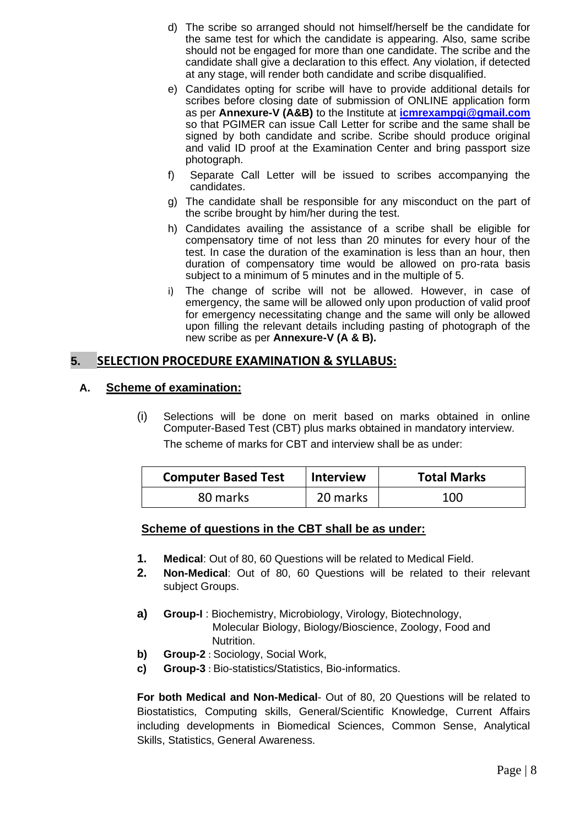- d) The scribe so arranged should not himself/herself be the candidate for the same test for which the candidate is appearing. Also, same scribe should not be engaged for more than one candidate. The scribe and the candidate shall give a declaration to this effect. Any violation, if detected at any stage, will render both candidate and scribe disqualified.
- e) Candidates opting for scribe will have to provide additional details for scribes before closing date of submission of ONLINE application form as per **Annexure-V (A&B)** to the Institute at **[icmrexampgi@gmail.com](mailto:icmrexampgi@gmail.com)** so that PGIMER can issue Call Letter for scribe and the same shall be signed by both candidate and scribe. Scribe should produce original and valid ID proof at the Examination Center and bring passport size photograph.
- f) Separate Call Letter will be issued to scribes accompanying the candidates.
- g) The candidate shall be responsible for any misconduct on the part of the scribe brought by him/her during the test.
- h) Candidates availing the assistance of a scribe shall be eligible for compensatory time of not less than 20 minutes for every hour of the test. In case the duration of the examination is less than an hour, then duration of compensatory time would be allowed on pro-rata basis subject to a minimum of 5 minutes and in the multiple of 5.
- i) The change of scribe will not be allowed. However, in case of emergency, the same will be allowed only upon production of valid proof for emergency necessitating change and the same will only be allowed upon filling the relevant details including pasting of photograph of the new scribe as per **Annexure-V (A & B).**

# **5. SELECTION PROCEDURE EXAMINATION & SYLLABUS:**

# **A. Scheme of examination:**

(i) Selections will be done on merit based on marks obtained in online Computer-Based Test (CBT) plus marks obtained in mandatory interview. The scheme of marks for CBT and interview shall be as under:

| <b>Computer Based Test</b> | <b>Interview</b> | <b>Total Marks</b> |
|----------------------------|------------------|--------------------|
| 80 marks                   | 20 marks         | 100                |

# **Scheme of questions in the CBT shall be as under:**

- **1. Medical**: Out of 80, 60 Questions will be related to Medical Field.
- **2. Non-Medical**: Out of 80, 60 Questions will be related to their relevant subject Groups.
- **a) Group-I** : Biochemistry, Microbiology, Virology, Biotechnology, Molecular Biology, Biology/Bioscience, Zoology, Food and Nutrition.
- **b) Group-2** : Sociology, Social Work,
- **c) Group-3** : Bio-statistics/Statistics, Bio-informatics.

**For both Medical and Non-Medical**- Out of 80, 20 Questions will be related to Biostatistics, Computing skills, General/Scientific Knowledge, Current Affairs including developments in Biomedical Sciences, Common Sense, Analytical Skills, Statistics, General Awareness.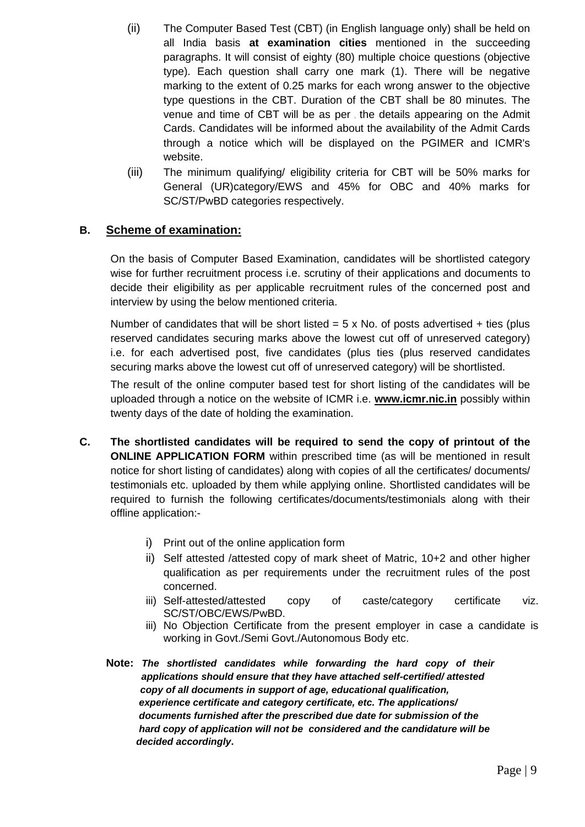- (ii) The Computer Based Test (CBT) (in English language only) shall be held on all India basis **at examination cities** mentioned in the succeeding paragraphs. It will consist of eighty (80) multiple choice questions (objective type). Each question shall carry one mark (1). There will be negative marking to the extent of 0.25 marks for each wrong answer to the objective type questions in the CBT. Duration of the CBT shall be 80 minutes. The venue and time of CBT will be as per, the details appearing on the Admit Cards. Candidates will be informed about the availability of the Admit Cards through a notice which will be displayed on the PGIMER and ICMR's website.
- (iii) The minimum qualifying/ eligibility criteria for CBT will be 50% marks for General (UR)category/EWS and 45% for OBC and 40% marks for SC/ST/PwBD categories respectively.

# **B. Scheme of examination:**

On the basis of Computer Based Examination, candidates will be shortlisted category wise for further recruitment process i.e. scrutiny of their applications and documents to decide their eligibility as per applicable recruitment rules of the concerned post and interview by using the below mentioned criteria.

Number of candidates that will be short listed  $= 5 \times$  No. of posts advertised  $+$  ties (plus reserved candidates securing marks above the lowest cut off of unreserved category) i.e. for each advertised post, five candidates (plus ties (plus reserved candidates securing marks above the lowest cut off of unreserved category) will be shortlisted.

The result of the online computer based test for short listing of the candidates will be uploaded through a notice on the website of ICMR i.e. **www.icmr.nic.in** possibly within twenty days of the date of holding the examination.

- **C. The shortlisted candidates will be required to send the copy of printout of the ONLINE APPLICATION FORM** within prescribed time (as will be mentioned in result notice for short listing of candidates) along with copies of all the certificates/ documents/ testimonials etc. uploaded by them while applying online. Shortlisted candidates will be required to furnish the following certificates/documents/testimonials along with their offline application:
	- i) Print out of the online application form
	- ii) Self attested /attested copy of mark sheet of Matric, 10+2 and other higher qualification as per requirements under the recruitment rules of the post concerned.
	- iii) Self-attested/attested copy of caste/category certificate viz. SC/ST/OBC/EWS/PwBD.
	- iii) No Objection Certificate from the present employer in case a candidate is working in Govt./Semi Govt./Autonomous Body etc.
	- **Note:** *The shortlisted candidates while forwarding the hard copy of their applications should ensure that they have attached self-certified/ attested*  *copy of all documents in support of age, educational qualification, experience certificate and category certificate, etc. The applications/ documents furnished after the prescribed due date for submission of the hard copy of application will not be considered and the candidature will be decided accordingly***.**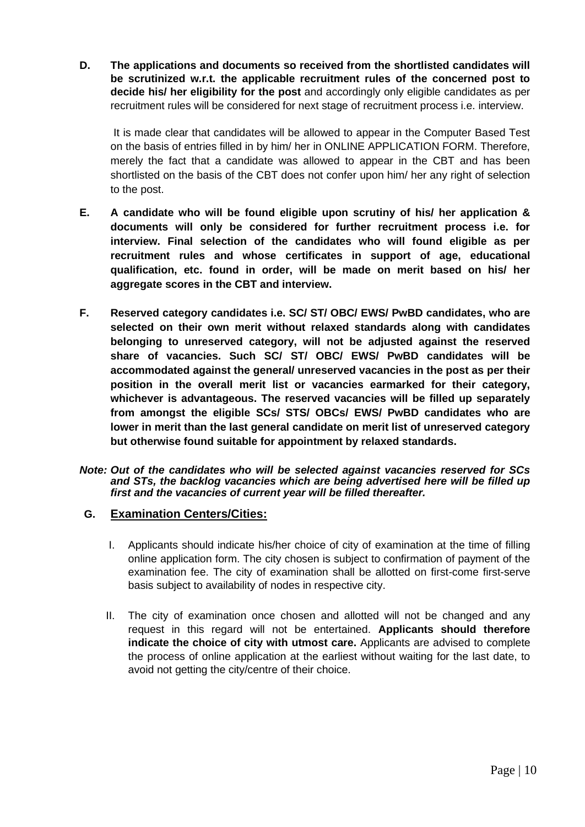**D. The applications and documents so received from the shortlisted candidates will be scrutinized w.r.t. the applicable recruitment rules of the concerned post to decide his/ her eligibility for the post** and accordingly only eligible candidates as per recruitment rules will be considered for next stage of recruitment process i.e. interview.

It is made clear that candidates will be allowed to appear in the Computer Based Test on the basis of entries filled in by him/ her in ONLINE APPLICATION FORM. Therefore, merely the fact that a candidate was allowed to appear in the CBT and has been shortlisted on the basis of the CBT does not confer upon him/ her any right of selection to the post.

- **E. A candidate who will be found eligible upon scrutiny of his/ her application & documents will only be considered for further recruitment process i.e. for interview. Final selection of the candidates who will found eligible as per recruitment rules and whose certificates in support of age, educational qualification, etc. found in order, will be made on merit based on his/ her aggregate scores in the CBT and interview.**
- **F. Reserved category candidates i.e. SC/ ST/ OBC/ EWS/ PwBD candidates, who are selected on their own merit without relaxed standards along with candidates belonging to unreserved category, will not be adjusted against the reserved share of vacancies. Such SC/ ST/ OBC/ EWS/ PwBD candidates will be accommodated against the general/ unreserved vacancies in the post as per their position in the overall merit list or vacancies earmarked for their category, whichever is advantageous. The reserved vacancies will be filled up separately from amongst the eligible SCs/ STS/ OBCs/ EWS/ PwBD candidates who are lower in merit than the last general candidate on merit list of unreserved category but otherwise found suitable for appointment by relaxed standards.**
- *Note: Out of the candidates who will be selected against vacancies reserved for SCs and STs, the backlog vacancies which are being advertised here will be filled up first and the vacancies of current year will be filled thereafter.*
- **G. Examination Centers/Cities:**
	- I. Applicants should indicate his/her choice of city of examination at the time of filling online application form. The city chosen is subject to confirmation of payment of the examination fee. The city of examination shall be allotted on first-come first-serve basis subject to availability of nodes in respective city.
	- II. The city of examination once chosen and allotted will not be changed and any request in this regard will not be entertained. **Applicants should therefore indicate the choice of city with utmost care.** Applicants are advised to complete the process of online application at the earliest without waiting for the last date, to avoid not getting the city/centre of their choice.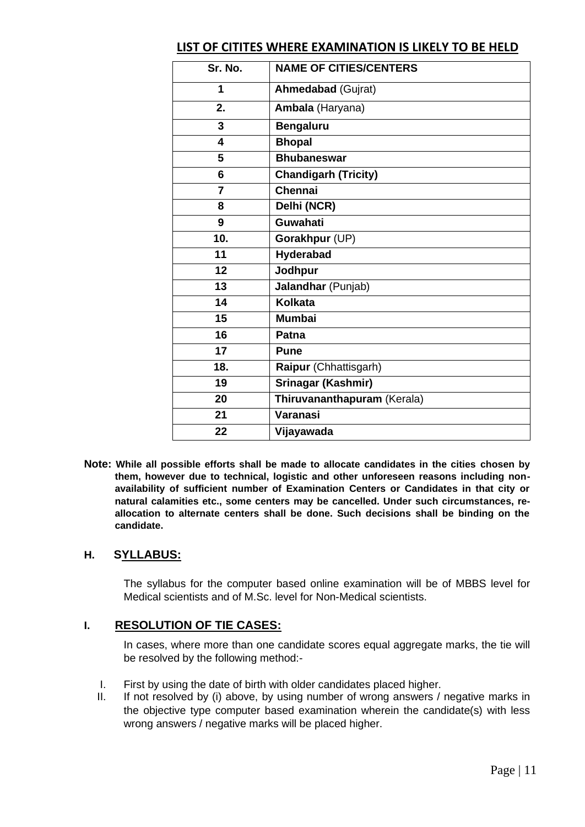# **LIST OF CITITES WHERE EXAMINATION IS LIKELY TO BE HELD**

| Sr. No.                 | <b>NAME OF CITIES/CENTERS</b> |
|-------------------------|-------------------------------|
| 1                       | <b>Ahmedabad (Gujrat)</b>     |
| 2.                      | Ambala (Haryana)              |
| 3                       | <b>Bengaluru</b>              |
| $\overline{\mathbf{4}}$ | <b>Bhopal</b>                 |
| 5                       | <b>Bhubaneswar</b>            |
| 6                       | <b>Chandigarh (Tricity)</b>   |
| $\overline{7}$          | <b>Chennai</b>                |
| 8                       | Delhi (NCR)                   |
| 9                       | <b>Guwahati</b>               |
| 10.                     | Gorakhpur (UP)                |
| 11                      | Hyderabad                     |
| 12                      | Jodhpur                       |
| 13                      | Jalandhar (Punjab)            |
| 14                      | <b>Kolkata</b>                |
| 15                      | <b>Mumbai</b>                 |
| 16                      | Patna                         |
| 17                      | <b>Pune</b>                   |
| 18.                     | Raipur (Chhattisgarh)         |
| 19                      | Srinagar (Kashmir)            |
| 20                      | Thiruvananthapuram (Kerala)   |
| 21                      | Varanasi                      |
| 22                      | Vijayawada                    |

**Note: While all possible efforts shall be made to allocate candidates in the cities chosen by them, however due to technical, logistic and other unforeseen reasons including nonavailability of sufficient number of Examination Centers or Candidates in that city or natural calamities etc., some centers may be cancelled. Under such circumstances, reallocation to alternate centers shall be done. Such decisions shall be binding on the candidate.**

# **H. SYLLABUS:**

The syllabus for the computer based online examination will be of MBBS level for Medical scientists and of M.Sc. level for Non-Medical scientists.

# **I. RESOLUTION OF TIE CASES:**

In cases, where more than one candidate scores equal aggregate marks, the tie will be resolved by the following method:-

- I. First by using the date of birth with older candidates placed higher.
- II. If not resolved by (i) above, by using number of wrong answers / negative marks in the objective type computer based examination wherein the candidate(s) with less wrong answers / negative marks will be placed higher.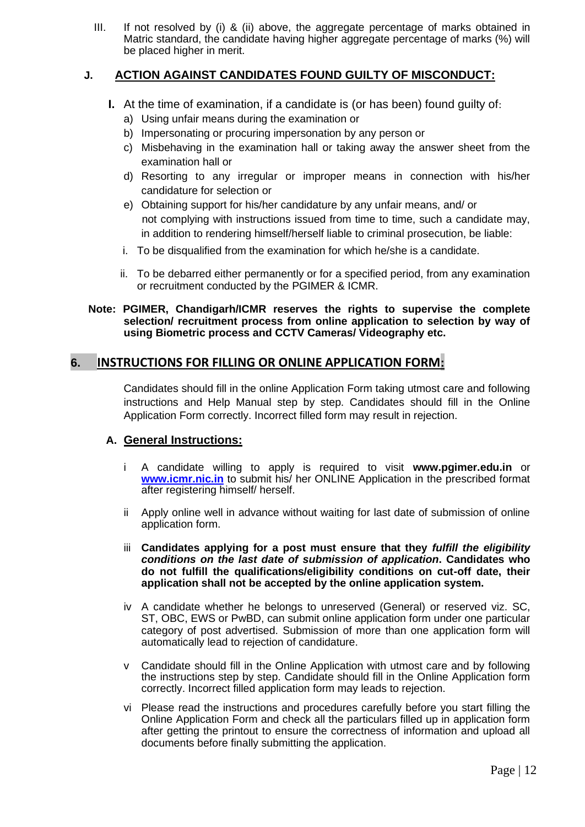III. If not resolved by (i) & (ii) above, the aggregate percentage of marks obtained in Matric standard, the candidate having higher aggregate percentage of marks (%) will be placed higher in merit.

# **J. ACTION AGAINST CANDIDATES FOUND GUILTY OF MISCONDUCT:**

- **I.** At the time of examination, if a candidate is (or has been) found quilty of:
	- a) Using unfair means during the examination or
	- b) Impersonating or procuring impersonation by any person or
	- c) Misbehaving in the examination hall or taking away the answer sheet from the examination hall or
	- d) Resorting to any irregular or improper means in connection with his/her candidature for selection or
	- e) Obtaining support for his/her candidature by any unfair means, and/ or not complying with instructions issued from time to time, such a candidate may, in addition to rendering himself/herself liable to criminal prosecution, be liable:
	- i. To be disqualified from the examination for which he/she is a candidate.
	- ii. To be debarred either permanently or for a specified period, from any examination or recruitment conducted by the PGIMER & ICMR.

#### **Note: PGIMER, Chandigarh/ICMR reserves the rights to supervise the complete selection/ recruitment process from online application to selection by way of using Biometric process and CCTV Cameras/ Videography etc.**

# **6. INSTRUCTIONS FOR FILLING OR ONLINE APPLICATION FORM:**

Candidates should fill in the online Application Form taking utmost care and following instructions and Help Manual step by step. Candidates should fill in the Online Application Form correctly. Incorrect filled form may result in rejection.

# **A. General Instructions:**

- i A candidate willing to apply is required to visit **www.pgimer.edu.in** or **[www.icmr.nic.in](http://www.icmr.nic.in/)** to submit his/ her ONLINE Application in the prescribed format after registering himself/ herself.
- ii Apply online well in advance without waiting for last date of submission of online application form.
- iii **Candidates applying for a post must ensure that they** *fulfill the eligibility conditions on the last date of submission of application***. Candidates who do not fulfill the qualifications/eligibility conditions on cut-off date, their application shall not be accepted by the online application system.**
- iv A candidate whether he belongs to unreserved (General) or reserved viz. SC, ST, OBC, EWS or PwBD, can submit online application form under one particular category of post advertised. Submission of more than one application form will automatically lead to rejection of candidature.
- v Candidate should fill in the Online Application with utmost care and by following the instructions step by step. Candidate should fill in the Online Application form correctly. Incorrect filled application form may leads to rejection.
- vi Please read the instructions and procedures carefully before you start filling the Online Application Form and check all the particulars filled up in application form after getting the printout to ensure the correctness of information and upload all documents before finally submitting the application.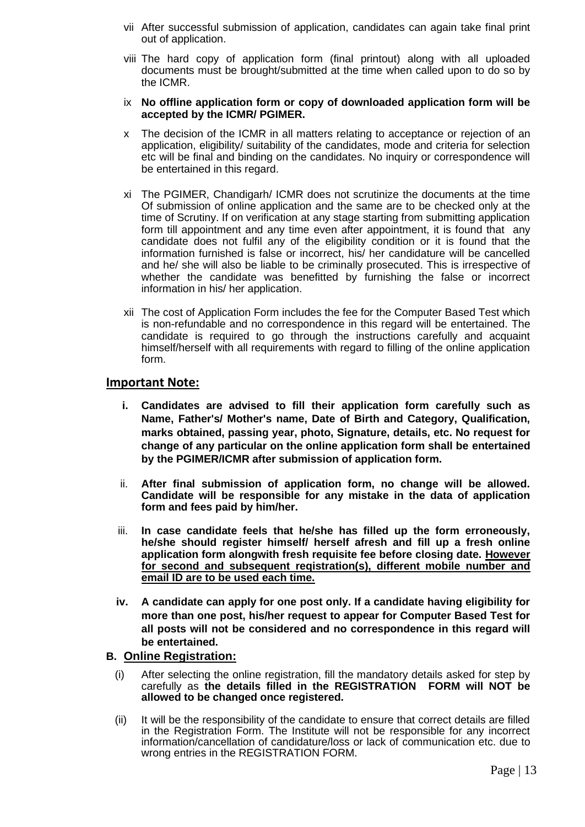- vii After successful submission of application, candidates can again take final print out of application.
- viii The hard copy of application form (final printout) along with all uploaded documents must be brought/submitted at the time when called upon to do so by the ICMR.
- ix **No offline application form or copy of downloaded application form will be accepted by the ICMR/ PGIMER.**
- x The decision of the ICMR in all matters relating to acceptance or rejection of an application, eligibility/ suitability of the candidates, mode and criteria for selection etc will be final and binding on the candidates. No inquiry or correspondence will be entertained in this regard.
- xi The PGIMER, Chandigarh/ ICMR does not scrutinize the documents at the time Of submission of online application and the same are to be checked only at the time of Scrutiny. If on verification at any stage starting from submitting application form till appointment and any time even after appointment, it is found that any candidate does not fulfil any of the eligibility condition or it is found that the information furnished is false or incorrect, his/ her candidature will be cancelled and he/ she will also be liable to be criminally prosecuted. This is irrespective of whether the candidate was benefitted by furnishing the false or incorrect information in his/ her application.
- xii The cost of Application Form includes the fee for the Computer Based Test which is non-refundable and no correspondence in this regard will be entertained. The candidate is required to go through the instructions carefully and acquaint himself/herself with all requirements with regard to filling of the online application form.

#### **Important Note:**

- **i. Candidates are advised to fill their application form carefully such as Name, Father's/ Mother's name, Date of Birth and Category, Qualification, marks obtained, passing year, photo, Signature, details, etc. No request for change of any particular on the online application form shall be entertained by the PGIMER/ICMR after submission of application form.**
- ii. **After final submission of application form, no change will be allowed. Candidate will be responsible for any mistake in the data of application form and fees paid by him/her.**
- iii. **In case candidate feels that he/she has filled up the form erroneously, he/she should register himself/ herself afresh and fill up a fresh online application form alongwith fresh requisite fee before closing date. However for second and subsequent reqistration(s), different mobile number and email ID are to be used each time.**
- **iv. A candidate can apply for one post only. If a candidate having eligibility for more than one post, his/her request to appear for Computer Based Test for all posts will not be considered and no correspondence in this regard will be entertained.**

#### **B. Online Registration:**

- (i) After selecting the online registration, fill the mandatory details asked for step by carefully as **the details filled in the REGISTRATION FORM will NOT be allowed to be changed once registered.**
- (ii) It will be the responsibility of the candidate to ensure that correct details are filled in the Registration Form. The Institute will not be responsible for any incorrect information/cancellation of candidature/loss or lack of communication etc. due to wrong entries in the REGISTRATION FORM.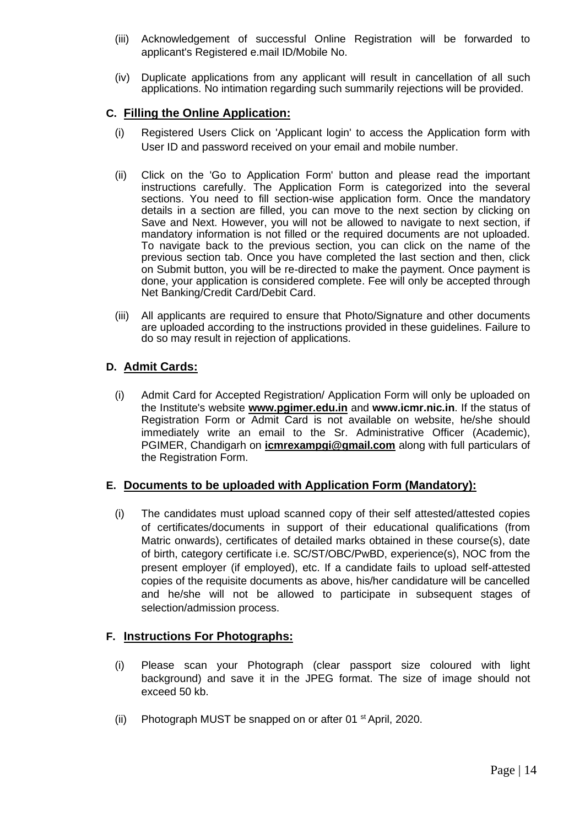- (iii) Acknowledgement of successful Online Registration will be forwarded to applicant's Registered e.mail ID/Mobile No.
- (iv) Duplicate applications from any applicant will result in cancellation of all such applications. No intimation regarding such summarily rejections will be provided.

### **C. Filling the Online Application:**

- (i) Registered Users Click on 'Applicant login' to access the Application form with User ID and password received on your email and mobile number.
- (ii) Click on the 'Go to Application Form' button and please read the important instructions carefully. The Application Form is categorized into the several sections. You need to fill section-wise application form. Once the mandatory details in a section are filled, you can move to the next section by clicking on Save and Next. However, you will not be allowed to navigate to next section, if mandatory information is not filled or the required documents are not uploaded. To navigate back to the previous section, you can click on the name of the previous section tab. Once you have completed the last section and then, click on Submit button, you will be re-directed to make the payment. Once payment is done, your application is considered complete. Fee will only be accepted through Net Banking/Credit Card/Debit Card.
- (iii) All applicants are required to ensure that Photo/Signature and other documents are uploaded according to the instructions provided in these guidelines. Failure to do so may result in rejection of applications.

#### **D. Admit Cards:**

(i) Admit Card for Accepted Registration/ Application Form will only be uploaded on the Institute's website **www.pgimer.edu.in** and **www.icmr.nic.in**. If the status of Registration Form or Admit Card is not available on website, he/she should immediately write an email to the Sr. Administrative Officer (Academic), PGIMER, Chandigarh on **icmrexampgi@gmail.com** along with full particulars of the Registration Form.

#### **E. Documents to be uploaded with Application Form (Mandatory):**

(i) The candidates must upload scanned copy of their self attested/attested copies of certificates/documents in support of their educational qualifications (from Matric onwards), certificates of detailed marks obtained in these course(s), date of birth, category certificate i.e. SC/ST/OBC/PwBD, experience(s), NOC from the present employer (if employed), etc. If a candidate fails to upload self-attested copies of the requisite documents as above, his/her candidature will be cancelled and he/she will not be allowed to participate in subsequent stages of selection/admission process.

#### **F. Instructions For Photographs:**

- (i) Please scan your Photograph (clear passport size coloured with light background) and save it in the JPEG format. The size of image should not exceed 50 kb.
- (ii) Photograph MUST be snapped on or after 01<sup>st</sup> April, 2020.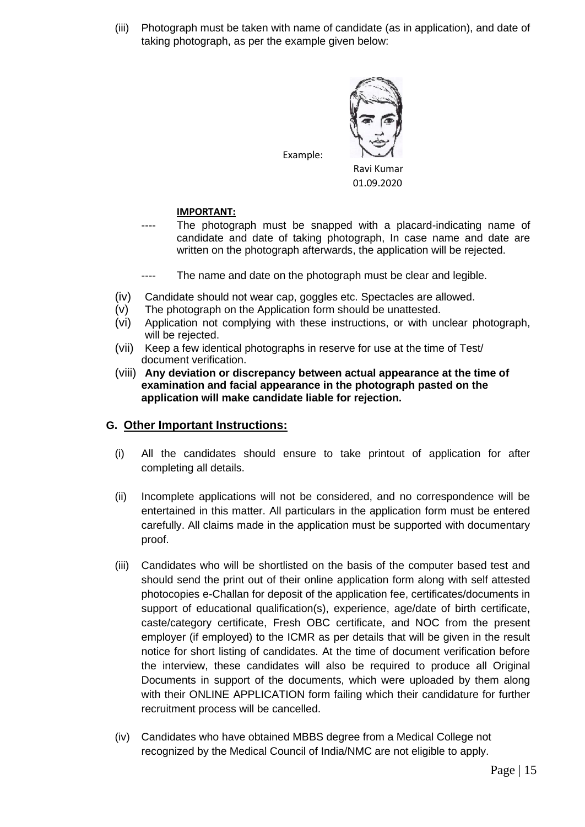(iii) Photograph must be taken with name of candidate (as in application), and date of taking photograph, as per the example given below:



Example:

Ravi Kumar 01.09.2020

# **IMPORTANT:**

- The photograph must be snapped with a placard-indicating name of candidate and date of taking photograph, In case name and date are written on the photograph afterwards, the application will be rejected.
- ---- The name and date on the photograph must be clear and legible.
- (iv) Candidate should not wear cap, goggles etc. Spectacles are allowed.
- (v) The photograph on the Application form should be unattested.
- (vi) Application not complying with these instructions, or with unclear photograph, will be rejected.
- (vii) Keep a few identical photographs in reserve for use at the time of Test/ document verification.
- (viii) **Any deviation or discrepancy between actual appearance at the time of examination and facial appearance in the photograph pasted on the application will make candidate liable for rejection.**

# **G. Other Important Instructions:**

- (i) All the candidates should ensure to take printout of application for after completing all details.
- (ii) Incomplete applications will not be considered, and no correspondence will be entertained in this matter. All particulars in the application form must be entered carefully. All claims made in the application must be supported with documentary proof.
- (iii) Candidates who will be shortlisted on the basis of the computer based test and should send the print out of their online application form along with self attested photocopies e-Challan for deposit of the application fee, certificates/documents in support of educational qualification(s), experience, age/date of birth certificate, caste/category certificate, Fresh OBC certificate, and NOC from the present employer (if employed) to the ICMR as per details that will be given in the result notice for short listing of candidates. At the time of document verification before the interview, these candidates will also be required to produce all Original Documents in support of the documents, which were uploaded by them along with their ONLINE APPLICATION form failing which their candidature for further recruitment process will be cancelled.
- (iv) Candidates who have obtained MBBS degree from a Medical College not recognized by the Medical Council of India/NMC are not eligible to apply.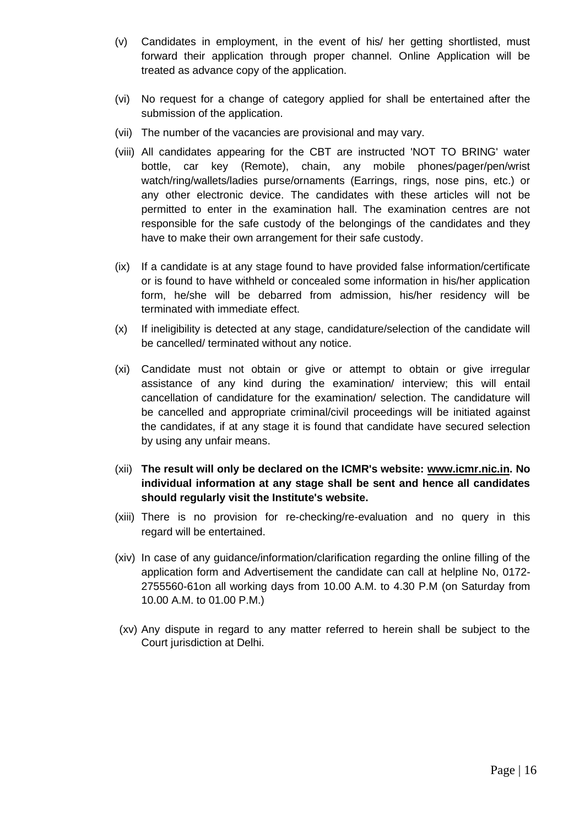- (v) Candidates in employment, in the event of his/ her getting shortlisted, must forward their application through proper channel. Online Application will be treated as advance copy of the application.
- (vi) No request for a change of category applied for shall be entertained after the submission of the application.
- (vii) The number of the vacancies are provisional and may vary.
- (viii) All candidates appearing for the CBT are instructed 'NOT TO BRING' water bottle, car key (Remote), chain, any mobile phones/pager/pen/wrist watch/ring/wallets/ladies purse/ornaments (Earrings, rings, nose pins, etc.) or any other electronic device. The candidates with these articles will not be permitted to enter in the examination hall. The examination centres are not responsible for the safe custody of the belongings of the candidates and they have to make their own arrangement for their safe custody.
- (ix) If a candidate is at any stage found to have provided false information/certificate or is found to have withheld or concealed some information in his/her application form, he/she will be debarred from admission, his/her residency will be terminated with immediate effect.
- (x) If ineligibility is detected at any stage, candidature/selection of the candidate will be cancelled/ terminated without any notice.
- (xi) Candidate must not obtain or give or attempt to obtain or give irregular assistance of any kind during the examination/ interview; this will entail cancellation of candidature for the examination/ selection. The candidature will be cancelled and appropriate criminal/civil proceedings will be initiated against the candidates, if at any stage it is found that candidate have secured selection by using any unfair means.
- (xii) **The result will only be declared on the ICMR's website: www.icmr.nic.in. No individual information at any stage shall be sent and hence all candidates should regularly visit the Institute's website.**
- (xiii) There is no provision for re-checking/re-evaluation and no query in this regard will be entertained.
- (xiv) In case of any guidance/information/clarification regarding the online filling of the application form and Advertisement the candidate can call at helpline No, 0172- 2755560-61on all working days from 10.00 A.M. to 4.30 P.M (on Saturday from 10.00 A.M. to 01.00 P.M.)
- (xv) Any dispute in regard to any matter referred to herein shall be subject to the Court jurisdiction at Delhi.